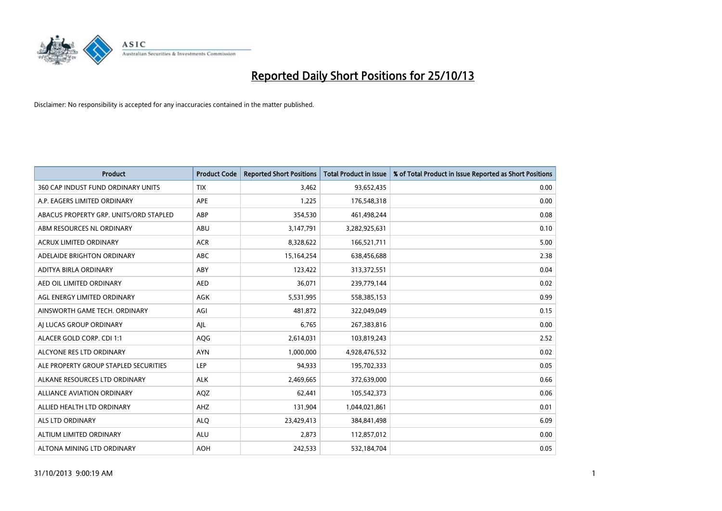

| <b>Product</b>                         | <b>Product Code</b> | <b>Reported Short Positions</b> | <b>Total Product in Issue</b> | % of Total Product in Issue Reported as Short Positions |
|----------------------------------------|---------------------|---------------------------------|-------------------------------|---------------------------------------------------------|
| 360 CAP INDUST FUND ORDINARY UNITS     | <b>TIX</b>          | 3,462                           | 93,652,435                    | 0.00                                                    |
| A.P. EAGERS LIMITED ORDINARY           | APE                 | 1,225                           | 176,548,318                   | 0.00                                                    |
| ABACUS PROPERTY GRP. UNITS/ORD STAPLED | ABP                 | 354,530                         | 461,498,244                   | 0.08                                                    |
| ABM RESOURCES NL ORDINARY              | ABU                 | 3,147,791                       | 3,282,925,631                 | 0.10                                                    |
| <b>ACRUX LIMITED ORDINARY</b>          | <b>ACR</b>          | 8,328,622                       | 166,521,711                   | 5.00                                                    |
| ADELAIDE BRIGHTON ORDINARY             | <b>ABC</b>          | 15,164,254                      | 638,456,688                   | 2.38                                                    |
| ADITYA BIRLA ORDINARY                  | ABY                 | 123,422                         | 313,372,551                   | 0.04                                                    |
| AED OIL LIMITED ORDINARY               | <b>AED</b>          | 36,071                          | 239,779,144                   | 0.02                                                    |
| AGL ENERGY LIMITED ORDINARY            | <b>AGK</b>          | 5,531,995                       | 558,385,153                   | 0.99                                                    |
| AINSWORTH GAME TECH. ORDINARY          | AGI                 | 481,872                         | 322,049,049                   | 0.15                                                    |
| AI LUCAS GROUP ORDINARY                | AJL                 | 6,765                           | 267,383,816                   | 0.00                                                    |
| ALACER GOLD CORP. CDI 1:1              | AQG                 | 2,614,031                       | 103,819,243                   | 2.52                                                    |
| ALCYONE RES LTD ORDINARY               | <b>AYN</b>          | 1,000,000                       | 4,928,476,532                 | 0.02                                                    |
| ALE PROPERTY GROUP STAPLED SECURITIES  | LEP                 | 94,933                          | 195,702,333                   | 0.05                                                    |
| ALKANE RESOURCES LTD ORDINARY          | <b>ALK</b>          | 2,469,665                       | 372,639,000                   | 0.66                                                    |
| ALLIANCE AVIATION ORDINARY             | AQZ                 | 62,441                          | 105,542,373                   | 0.06                                                    |
| ALLIED HEALTH LTD ORDINARY             | AHZ                 | 131,904                         | 1,044,021,861                 | 0.01                                                    |
| <b>ALS LTD ORDINARY</b>                | <b>ALQ</b>          | 23,429,413                      | 384,841,498                   | 6.09                                                    |
| ALTIUM LIMITED ORDINARY                | <b>ALU</b>          | 2,873                           | 112,857,012                   | 0.00                                                    |
| ALTONA MINING LTD ORDINARY             | <b>AOH</b>          | 242,533                         | 532,184,704                   | 0.05                                                    |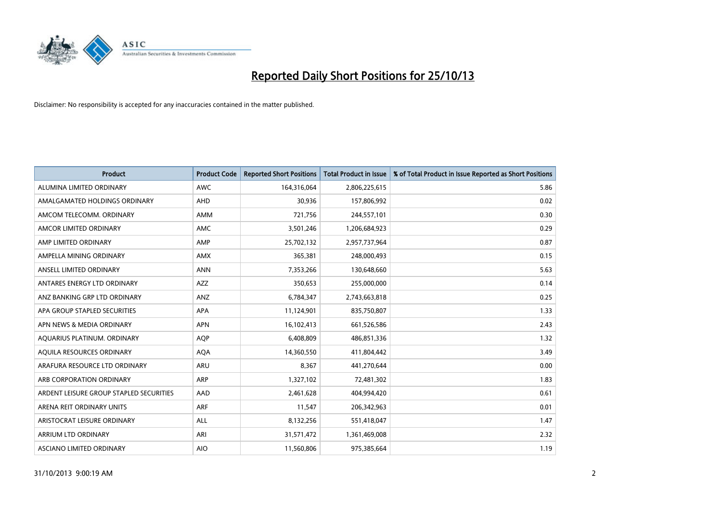

| <b>Product</b>                          | <b>Product Code</b> | <b>Reported Short Positions</b> | <b>Total Product in Issue</b> | % of Total Product in Issue Reported as Short Positions |
|-----------------------------------------|---------------------|---------------------------------|-------------------------------|---------------------------------------------------------|
| ALUMINA LIMITED ORDINARY                | <b>AWC</b>          | 164,316,064                     | 2,806,225,615                 | 5.86                                                    |
| AMALGAMATED HOLDINGS ORDINARY           | AHD                 | 30,936                          | 157,806,992                   | 0.02                                                    |
| AMCOM TELECOMM. ORDINARY                | <b>AMM</b>          | 721,756                         | 244,557,101                   | 0.30                                                    |
| AMCOR LIMITED ORDINARY                  | AMC                 | 3,501,246                       | 1,206,684,923                 | 0.29                                                    |
| AMP LIMITED ORDINARY                    | AMP                 | 25,702,132                      | 2,957,737,964                 | 0.87                                                    |
| AMPELLA MINING ORDINARY                 | <b>AMX</b>          | 365,381                         | 248,000,493                   | 0.15                                                    |
| ANSELL LIMITED ORDINARY                 | <b>ANN</b>          | 7,353,266                       | 130,648,660                   | 5.63                                                    |
| ANTARES ENERGY LTD ORDINARY             | AZZ                 | 350,653                         | 255,000,000                   | 0.14                                                    |
| ANZ BANKING GRP LTD ORDINARY            | ANZ                 | 6,784,347                       | 2,743,663,818                 | 0.25                                                    |
| APA GROUP STAPLED SECURITIES            | <b>APA</b>          | 11,124,901                      | 835,750,807                   | 1.33                                                    |
| APN NEWS & MEDIA ORDINARY               | <b>APN</b>          | 16,102,413                      | 661,526,586                   | 2.43                                                    |
| AQUARIUS PLATINUM. ORDINARY             | <b>AOP</b>          | 6,408,809                       | 486,851,336                   | 1.32                                                    |
| AQUILA RESOURCES ORDINARY               | <b>AQA</b>          | 14,360,550                      | 411,804,442                   | 3.49                                                    |
| ARAFURA RESOURCE LTD ORDINARY           | <b>ARU</b>          | 8,367                           | 441,270,644                   | 0.00                                                    |
| ARB CORPORATION ORDINARY                | <b>ARP</b>          | 1,327,102                       | 72,481,302                    | 1.83                                                    |
| ARDENT LEISURE GROUP STAPLED SECURITIES | AAD                 | 2,461,628                       | 404,994,420                   | 0.61                                                    |
| ARENA REIT ORDINARY UNITS               | <b>ARF</b>          | 11,547                          | 206,342,963                   | 0.01                                                    |
| ARISTOCRAT LEISURE ORDINARY             | <b>ALL</b>          | 8,132,256                       | 551,418,047                   | 1.47                                                    |
| ARRIUM LTD ORDINARY                     | ARI                 | 31,571,472                      | 1,361,469,008                 | 2.32                                                    |
| ASCIANO LIMITED ORDINARY                | <b>AIO</b>          | 11,560,806                      | 975,385,664                   | 1.19                                                    |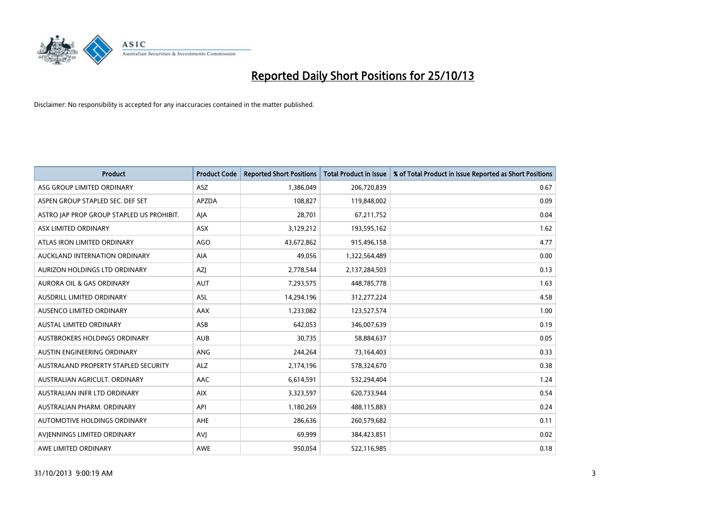

| <b>Product</b>                            | <b>Product Code</b> | <b>Reported Short Positions</b> | <b>Total Product in Issue</b> | % of Total Product in Issue Reported as Short Positions |
|-------------------------------------------|---------------------|---------------------------------|-------------------------------|---------------------------------------------------------|
| ASG GROUP LIMITED ORDINARY                | ASZ                 | 1,386,049                       | 206,720,839                   | 0.67                                                    |
| ASPEN GROUP STAPLED SEC. DEF SET          | <b>APZDA</b>        | 108,827                         | 119,848,002                   | 0.09                                                    |
| ASTRO JAP PROP GROUP STAPLED US PROHIBIT. | AJA                 | 28,701                          | 67,211,752                    | 0.04                                                    |
| ASX LIMITED ORDINARY                      | ASX                 | 3,129,212                       | 193,595,162                   | 1.62                                                    |
| ATLAS IRON LIMITED ORDINARY               | <b>AGO</b>          | 43,672,862                      | 915,496,158                   | 4.77                                                    |
| AUCKLAND INTERNATION ORDINARY             | AIA                 | 49,056                          | 1,322,564,489                 | 0.00                                                    |
| AURIZON HOLDINGS LTD ORDINARY             | AZJ                 | 2,778,544                       | 2,137,284,503                 | 0.13                                                    |
| AURORA OIL & GAS ORDINARY                 | AUT                 | 7,293,575                       | 448,785,778                   | 1.63                                                    |
| AUSDRILL LIMITED ORDINARY                 | <b>ASL</b>          | 14,294,196                      | 312,277,224                   | 4.58                                                    |
| AUSENCO LIMITED ORDINARY                  | AAX                 | 1,233,082                       | 123,527,574                   | 1.00                                                    |
| AUSTAL LIMITED ORDINARY                   | ASB                 | 642,053                         | 346,007,639                   | 0.19                                                    |
| AUSTBROKERS HOLDINGS ORDINARY             | <b>AUB</b>          | 30,735                          | 58,884,637                    | 0.05                                                    |
| AUSTIN ENGINEERING ORDINARY               | <b>ANG</b>          | 244,264                         | 73,164,403                    | 0.33                                                    |
| AUSTRALAND PROPERTY STAPLED SECURITY      | <b>ALZ</b>          | 2,174,196                       | 578,324,670                   | 0.38                                                    |
| AUSTRALIAN AGRICULT, ORDINARY             | AAC                 | 6,614,591                       | 532,294,404                   | 1.24                                                    |
| AUSTRALIAN INFR LTD ORDINARY              | <b>AIX</b>          | 3,323,597                       | 620,733,944                   | 0.54                                                    |
| AUSTRALIAN PHARM. ORDINARY                | API                 | 1,180,269                       | 488,115,883                   | 0.24                                                    |
| AUTOMOTIVE HOLDINGS ORDINARY              | <b>AHE</b>          | 286,636                         | 260,579,682                   | 0.11                                                    |
| AVIENNINGS LIMITED ORDINARY               | <b>AVI</b>          | 69,999                          | 384,423,851                   | 0.02                                                    |
| AWE LIMITED ORDINARY                      | <b>AWE</b>          | 950,054                         | 522,116,985                   | 0.18                                                    |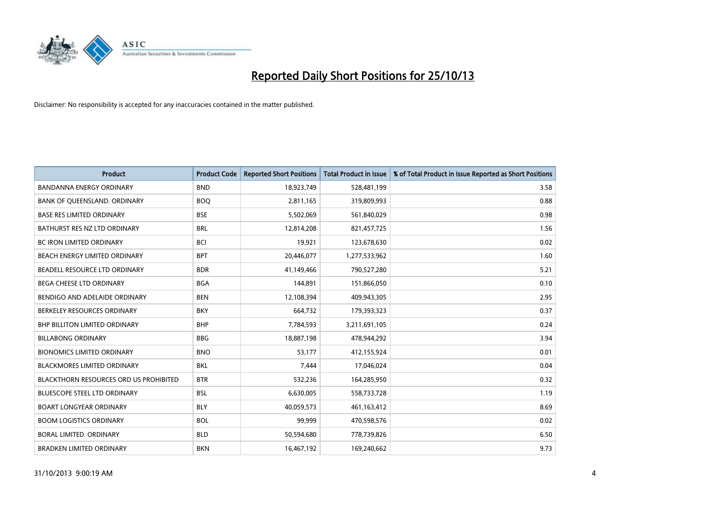

| <b>Product</b>                                | <b>Product Code</b> | <b>Reported Short Positions</b> | <b>Total Product in Issue</b> | % of Total Product in Issue Reported as Short Positions |
|-----------------------------------------------|---------------------|---------------------------------|-------------------------------|---------------------------------------------------------|
| <b>BANDANNA ENERGY ORDINARY</b>               | <b>BND</b>          | 18,923,749                      | 528,481,199                   | 3.58                                                    |
| BANK OF QUEENSLAND. ORDINARY                  | <b>BOQ</b>          | 2,811,165                       | 319,809,993                   | 0.88                                                    |
| <b>BASE RES LIMITED ORDINARY</b>              | <b>BSE</b>          | 5,502,069                       | 561,840,029                   | 0.98                                                    |
| BATHURST RES NZ LTD ORDINARY                  | <b>BRL</b>          | 12,814,208                      | 821,457,725                   | 1.56                                                    |
| <b>BC IRON LIMITED ORDINARY</b>               | <b>BCI</b>          | 19,921                          | 123,678,630                   | 0.02                                                    |
| BEACH ENERGY LIMITED ORDINARY                 | <b>BPT</b>          | 20,446,077                      | 1,277,533,962                 | 1.60                                                    |
| BEADELL RESOURCE LTD ORDINARY                 | <b>BDR</b>          | 41,149,466                      | 790,527,280                   | 5.21                                                    |
| BEGA CHEESE LTD ORDINARY                      | <b>BGA</b>          | 144,891                         | 151,866,050                   | 0.10                                                    |
| BENDIGO AND ADELAIDE ORDINARY                 | <b>BEN</b>          | 12,108,394                      | 409,943,305                   | 2.95                                                    |
| BERKELEY RESOURCES ORDINARY                   | <b>BKY</b>          | 664,732                         | 179,393,323                   | 0.37                                                    |
| <b>BHP BILLITON LIMITED ORDINARY</b>          | <b>BHP</b>          | 7,784,593                       | 3,211,691,105                 | 0.24                                                    |
| <b>BILLABONG ORDINARY</b>                     | <b>BBG</b>          | 18,887,198                      | 478,944,292                   | 3.94                                                    |
| <b>BIONOMICS LIMITED ORDINARY</b>             | <b>BNO</b>          | 53,177                          | 412,155,924                   | 0.01                                                    |
| <b>BLACKMORES LIMITED ORDINARY</b>            | <b>BKL</b>          | 7,444                           | 17,046,024                    | 0.04                                                    |
| <b>BLACKTHORN RESOURCES ORD US PROHIBITED</b> | <b>BTR</b>          | 532,236                         | 164,285,950                   | 0.32                                                    |
| BLUESCOPE STEEL LTD ORDINARY                  | <b>BSL</b>          | 6,630,005                       | 558,733,728                   | 1.19                                                    |
| <b>BOART LONGYEAR ORDINARY</b>                | <b>BLY</b>          | 40,059,573                      | 461,163,412                   | 8.69                                                    |
| <b>BOOM LOGISTICS ORDINARY</b>                | <b>BOL</b>          | 99.999                          | 470,598,576                   | 0.02                                                    |
| <b>BORAL LIMITED, ORDINARY</b>                | <b>BLD</b>          | 50,594,680                      | 778,739,826                   | 6.50                                                    |
| <b>BRADKEN LIMITED ORDINARY</b>               | <b>BKN</b>          | 16,467,192                      | 169,240,662                   | 9.73                                                    |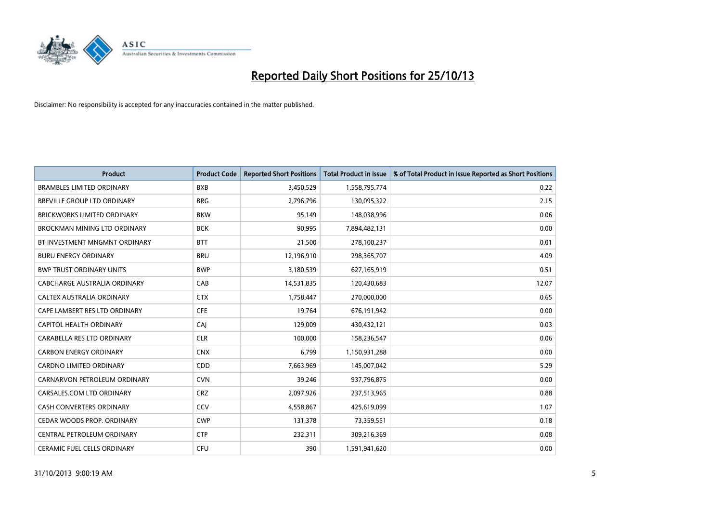

| <b>Product</b>                      | <b>Product Code</b> | <b>Reported Short Positions</b> | <b>Total Product in Issue</b> | % of Total Product in Issue Reported as Short Positions |
|-------------------------------------|---------------------|---------------------------------|-------------------------------|---------------------------------------------------------|
| <b>BRAMBLES LIMITED ORDINARY</b>    | <b>BXB</b>          | 3,450,529                       | 1,558,795,774                 | 0.22                                                    |
| BREVILLE GROUP LTD ORDINARY         | <b>BRG</b>          | 2,796,796                       | 130,095,322                   | 2.15                                                    |
| <b>BRICKWORKS LIMITED ORDINARY</b>  | <b>BKW</b>          | 95,149                          | 148,038,996                   | 0.06                                                    |
| <b>BROCKMAN MINING LTD ORDINARY</b> | <b>BCK</b>          | 90,995                          | 7,894,482,131                 | 0.00                                                    |
| BT INVESTMENT MNGMNT ORDINARY       | <b>BTT</b>          | 21,500                          | 278,100,237                   | 0.01                                                    |
| <b>BURU ENERGY ORDINARY</b>         | <b>BRU</b>          | 12,196,910                      | 298,365,707                   | 4.09                                                    |
| <b>BWP TRUST ORDINARY UNITS</b>     | <b>BWP</b>          | 3,180,539                       | 627,165,919                   | 0.51                                                    |
| CABCHARGE AUSTRALIA ORDINARY        | CAB                 | 14,531,835                      | 120,430,683                   | 12.07                                                   |
| CALTEX AUSTRALIA ORDINARY           | <b>CTX</b>          | 1,758,447                       | 270,000,000                   | 0.65                                                    |
| CAPE LAMBERT RES LTD ORDINARY       | <b>CFE</b>          | 19,764                          | 676,191,942                   | 0.00                                                    |
| CAPITOL HEALTH ORDINARY             | CAI                 | 129,009                         | 430,432,121                   | 0.03                                                    |
| CARABELLA RES LTD ORDINARY          | <b>CLR</b>          | 100,000                         | 158,236,547                   | 0.06                                                    |
| <b>CARBON ENERGY ORDINARY</b>       | <b>CNX</b>          | 6,799                           | 1,150,931,288                 | 0.00                                                    |
| <b>CARDNO LIMITED ORDINARY</b>      | CDD                 | 7,663,969                       | 145,007,042                   | 5.29                                                    |
| CARNARVON PETROLEUM ORDINARY        | <b>CVN</b>          | 39,246                          | 937,796,875                   | 0.00                                                    |
| CARSALES.COM LTD ORDINARY           | <b>CRZ</b>          | 2,097,926                       | 237,513,965                   | 0.88                                                    |
| CASH CONVERTERS ORDINARY            | CCV                 | 4,558,867                       | 425,619,099                   | 1.07                                                    |
| CEDAR WOODS PROP. ORDINARY          | <b>CWP</b>          | 131,378                         | 73,359,551                    | 0.18                                                    |
| CENTRAL PETROLEUM ORDINARY          | <b>CTP</b>          | 232,311                         | 309,216,369                   | 0.08                                                    |
| CERAMIC FUEL CELLS ORDINARY         | <b>CFU</b>          | 390                             | 1,591,941,620                 | 0.00                                                    |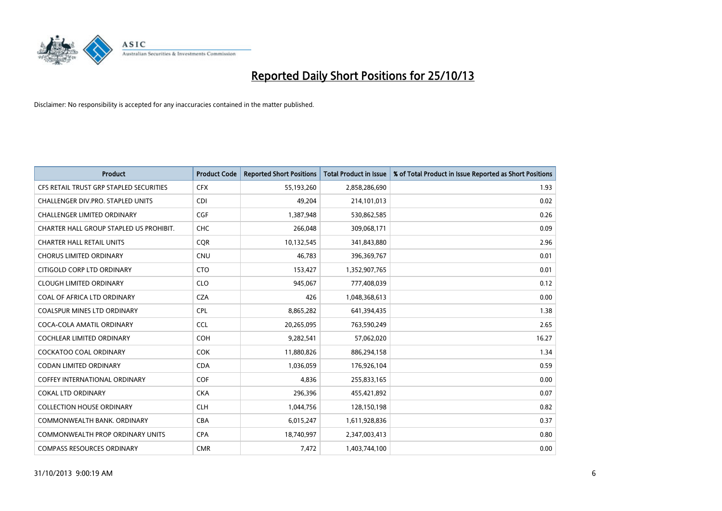

| <b>Product</b>                          | <b>Product Code</b> | <b>Reported Short Positions</b> | <b>Total Product in Issue</b> | % of Total Product in Issue Reported as Short Positions |
|-----------------------------------------|---------------------|---------------------------------|-------------------------------|---------------------------------------------------------|
| CFS RETAIL TRUST GRP STAPLED SECURITIES | <b>CFX</b>          | 55,193,260                      | 2,858,286,690                 | 1.93                                                    |
| CHALLENGER DIV.PRO. STAPLED UNITS       | <b>CDI</b>          | 49,204                          | 214,101,013                   | 0.02                                                    |
| <b>CHALLENGER LIMITED ORDINARY</b>      | <b>CGF</b>          | 1,387,948                       | 530,862,585                   | 0.26                                                    |
| CHARTER HALL GROUP STAPLED US PROHIBIT. | <b>CHC</b>          | 266,048                         | 309,068,171                   | 0.09                                                    |
| <b>CHARTER HALL RETAIL UNITS</b>        | <b>COR</b>          | 10,132,545                      | 341,843,880                   | 2.96                                                    |
| <b>CHORUS LIMITED ORDINARY</b>          | CNU                 | 46,783                          | 396,369,767                   | 0.01                                                    |
| CITIGOLD CORP LTD ORDINARY              | <b>CTO</b>          | 153,427                         | 1,352,907,765                 | 0.01                                                    |
| <b>CLOUGH LIMITED ORDINARY</b>          | <b>CLO</b>          | 945,067                         | 777,408,039                   | 0.12                                                    |
| COAL OF AFRICA LTD ORDINARY             | <b>CZA</b>          | 426                             | 1,048,368,613                 | 0.00                                                    |
| <b>COALSPUR MINES LTD ORDINARY</b>      | <b>CPL</b>          | 8,865,282                       | 641,394,435                   | 1.38                                                    |
| COCA-COLA AMATIL ORDINARY               | <b>CCL</b>          | 20,265,095                      | 763,590,249                   | 2.65                                                    |
| <b>COCHLEAR LIMITED ORDINARY</b>        | <b>COH</b>          | 9,282,541                       | 57,062,020                    | 16.27                                                   |
| COCKATOO COAL ORDINARY                  | <b>COK</b>          | 11,880,826                      | 886,294,158                   | 1.34                                                    |
| <b>CODAN LIMITED ORDINARY</b>           | <b>CDA</b>          | 1,036,059                       | 176,926,104                   | 0.59                                                    |
| <b>COFFEY INTERNATIONAL ORDINARY</b>    | COF                 | 4,836                           | 255,833,165                   | 0.00                                                    |
| <b>COKAL LTD ORDINARY</b>               | <b>CKA</b>          | 296,396                         | 455,421,892                   | 0.07                                                    |
| <b>COLLECTION HOUSE ORDINARY</b>        | <b>CLH</b>          | 1,044,756                       | 128,150,198                   | 0.82                                                    |
| COMMONWEALTH BANK, ORDINARY             | <b>CBA</b>          | 6,015,247                       | 1,611,928,836                 | 0.37                                                    |
| <b>COMMONWEALTH PROP ORDINARY UNITS</b> | <b>CPA</b>          | 18,740,997                      | 2,347,003,413                 | 0.80                                                    |
| <b>COMPASS RESOURCES ORDINARY</b>       | <b>CMR</b>          | 7,472                           | 1,403,744,100                 | 0.00                                                    |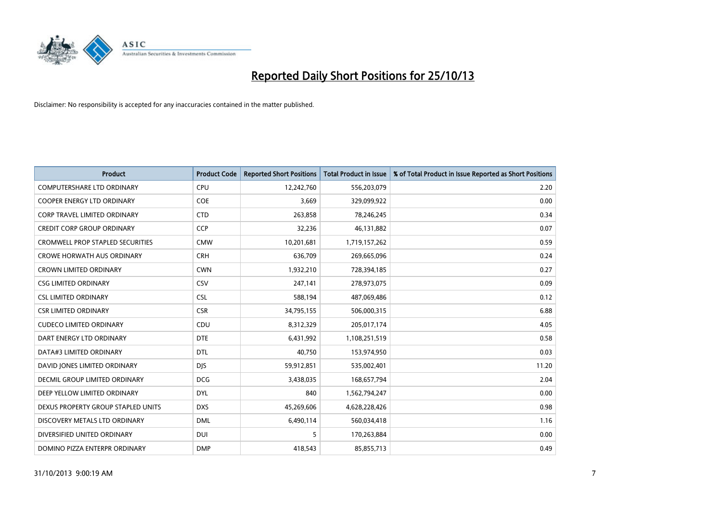

| <b>Product</b>                          | <b>Product Code</b> | <b>Reported Short Positions</b> | <b>Total Product in Issue</b> | % of Total Product in Issue Reported as Short Positions |
|-----------------------------------------|---------------------|---------------------------------|-------------------------------|---------------------------------------------------------|
| <b>COMPUTERSHARE LTD ORDINARY</b>       | <b>CPU</b>          | 12,242,760                      | 556,203,079                   | 2.20                                                    |
| COOPER ENERGY LTD ORDINARY              | <b>COE</b>          | 3,669                           | 329,099,922                   | 0.00                                                    |
| CORP TRAVEL LIMITED ORDINARY            | <b>CTD</b>          | 263,858                         | 78,246,245                    | 0.34                                                    |
| <b>CREDIT CORP GROUP ORDINARY</b>       | <b>CCP</b>          | 32,236                          | 46,131,882                    | 0.07                                                    |
| <b>CROMWELL PROP STAPLED SECURITIES</b> | <b>CMW</b>          | 10,201,681                      | 1,719,157,262                 | 0.59                                                    |
| <b>CROWE HORWATH AUS ORDINARY</b>       | <b>CRH</b>          | 636,709                         | 269,665,096                   | 0.24                                                    |
| <b>CROWN LIMITED ORDINARY</b>           | <b>CWN</b>          | 1,932,210                       | 728,394,185                   | 0.27                                                    |
| <b>CSG LIMITED ORDINARY</b>             | <b>CSV</b>          | 247,141                         | 278,973,075                   | 0.09                                                    |
| <b>CSL LIMITED ORDINARY</b>             | <b>CSL</b>          | 588,194                         | 487,069,486                   | 0.12                                                    |
| <b>CSR LIMITED ORDINARY</b>             | <b>CSR</b>          | 34,795,155                      | 506,000,315                   | 6.88                                                    |
| <b>CUDECO LIMITED ORDINARY</b>          | CDU                 | 8,312,329                       | 205,017,174                   | 4.05                                                    |
| DART ENERGY LTD ORDINARY                | <b>DTE</b>          | 6,431,992                       | 1,108,251,519                 | 0.58                                                    |
| DATA#3 LIMITED ORDINARY                 | DTL                 | 40,750                          | 153,974,950                   | 0.03                                                    |
| DAVID JONES LIMITED ORDINARY            | <b>DJS</b>          | 59,912,851                      | 535,002,401                   | 11.20                                                   |
| DECMIL GROUP LIMITED ORDINARY           | <b>DCG</b>          | 3,438,035                       | 168,657,794                   | 2.04                                                    |
| DEEP YELLOW LIMITED ORDINARY            | <b>DYL</b>          | 840                             | 1,562,794,247                 | 0.00                                                    |
| DEXUS PROPERTY GROUP STAPLED UNITS      | <b>DXS</b>          | 45,269,606                      | 4,628,228,426                 | 0.98                                                    |
| DISCOVERY METALS LTD ORDINARY           | <b>DML</b>          | 6,490,114                       | 560,034,418                   | 1.16                                                    |
| DIVERSIFIED UNITED ORDINARY             | <b>DUI</b>          | 5                               | 170,263,884                   | 0.00                                                    |
| DOMINO PIZZA ENTERPR ORDINARY           | <b>DMP</b>          | 418,543                         | 85,855,713                    | 0.49                                                    |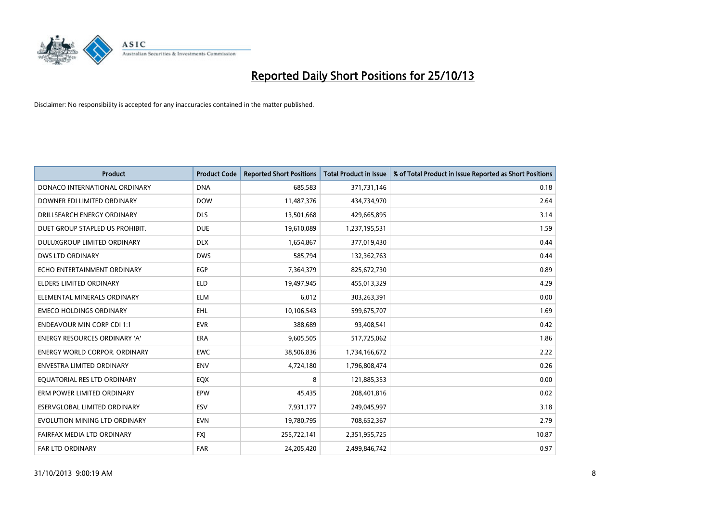

| <b>Product</b>                       | <b>Product Code</b> | <b>Reported Short Positions</b> | <b>Total Product in Issue</b> | % of Total Product in Issue Reported as Short Positions |
|--------------------------------------|---------------------|---------------------------------|-------------------------------|---------------------------------------------------------|
| DONACO INTERNATIONAL ORDINARY        | <b>DNA</b>          | 685,583                         | 371,731,146                   | 0.18                                                    |
| DOWNER EDI LIMITED ORDINARY          | <b>DOW</b>          | 11,487,376                      | 434,734,970                   | 2.64                                                    |
| DRILLSEARCH ENERGY ORDINARY          | <b>DLS</b>          | 13,501,668                      | 429,665,895                   | 3.14                                                    |
| DUET GROUP STAPLED US PROHIBIT.      | <b>DUE</b>          | 19,610,089                      | 1,237,195,531                 | 1.59                                                    |
| DULUXGROUP LIMITED ORDINARY          | <b>DLX</b>          | 1,654,867                       | 377,019,430                   | 0.44                                                    |
| <b>DWS LTD ORDINARY</b>              | <b>DWS</b>          | 585,794                         | 132,362,763                   | 0.44                                                    |
| ECHO ENTERTAINMENT ORDINARY          | <b>EGP</b>          | 7,364,379                       | 825,672,730                   | 0.89                                                    |
| <b>ELDERS LIMITED ORDINARY</b>       | <b>ELD</b>          | 19,497,945                      | 455,013,329                   | 4.29                                                    |
| ELEMENTAL MINERALS ORDINARY          | <b>ELM</b>          | 6,012                           | 303,263,391                   | 0.00                                                    |
| <b>EMECO HOLDINGS ORDINARY</b>       | <b>EHL</b>          | 10,106,543                      | 599,675,707                   | 1.69                                                    |
| <b>ENDEAVOUR MIN CORP CDI 1:1</b>    | <b>EVR</b>          | 388,689                         | 93,408,541                    | 0.42                                                    |
| <b>ENERGY RESOURCES ORDINARY 'A'</b> | ERA                 | 9,605,505                       | 517,725,062                   | 1.86                                                    |
| <b>ENERGY WORLD CORPOR, ORDINARY</b> | <b>EWC</b>          | 38,506,836                      | 1,734,166,672                 | 2.22                                                    |
| <b>ENVESTRA LIMITED ORDINARY</b>     | <b>ENV</b>          | 4,724,180                       | 1,796,808,474                 | 0.26                                                    |
| EQUATORIAL RES LTD ORDINARY          | EQX                 | 8                               | 121,885,353                   | 0.00                                                    |
| ERM POWER LIMITED ORDINARY           | EPW                 | 45,435                          | 208,401,816                   | 0.02                                                    |
| <b>ESERVGLOBAL LIMITED ORDINARY</b>  | ESV                 | 7,931,177                       | 249,045,997                   | 3.18                                                    |
| EVOLUTION MINING LTD ORDINARY        | <b>EVN</b>          | 19,780,795                      | 708,652,367                   | 2.79                                                    |
| FAIRFAX MEDIA LTD ORDINARY           | <b>FXI</b>          | 255,722,141                     | 2,351,955,725                 | 10.87                                                   |
| <b>FAR LTD ORDINARY</b>              | <b>FAR</b>          | 24,205,420                      | 2,499,846,742                 | 0.97                                                    |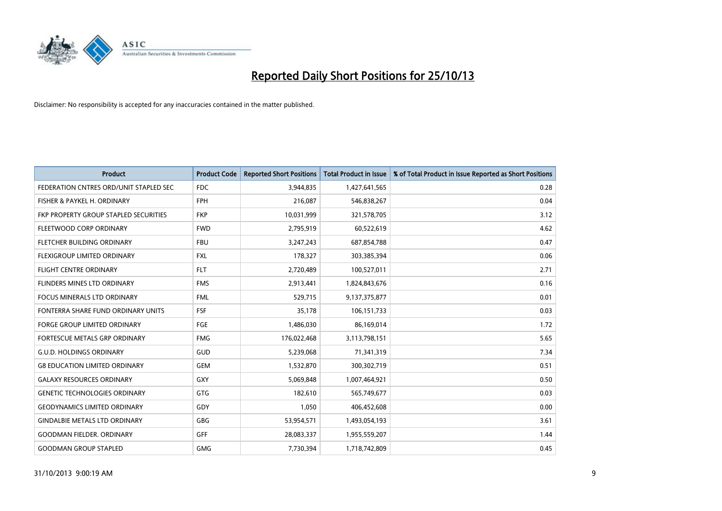

| <b>Product</b>                         | <b>Product Code</b> | <b>Reported Short Positions</b> | <b>Total Product in Issue</b> | % of Total Product in Issue Reported as Short Positions |
|----------------------------------------|---------------------|---------------------------------|-------------------------------|---------------------------------------------------------|
| FEDERATION CNTRES ORD/UNIT STAPLED SEC | FDC                 | 3,944,835                       | 1,427,641,565                 | 0.28                                                    |
| FISHER & PAYKEL H. ORDINARY            | <b>FPH</b>          | 216,087                         | 546,838,267                   | 0.04                                                    |
| FKP PROPERTY GROUP STAPLED SECURITIES  | <b>FKP</b>          | 10,031,999                      | 321,578,705                   | 3.12                                                    |
| FLEETWOOD CORP ORDINARY                | <b>FWD</b>          | 2,795,919                       | 60,522,619                    | 4.62                                                    |
| FLETCHER BUILDING ORDINARY             | <b>FBU</b>          | 3,247,243                       | 687,854,788                   | 0.47                                                    |
| FLEXIGROUP LIMITED ORDINARY            | <b>FXL</b>          | 178,327                         | 303,385,394                   | 0.06                                                    |
| <b>FLIGHT CENTRE ORDINARY</b>          | <b>FLT</b>          | 2,720,489                       | 100,527,011                   | 2.71                                                    |
| <b>FLINDERS MINES LTD ORDINARY</b>     | <b>FMS</b>          | 2,913,441                       | 1,824,843,676                 | 0.16                                                    |
| <b>FOCUS MINERALS LTD ORDINARY</b>     | <b>FML</b>          | 529,715                         | 9,137,375,877                 | 0.01                                                    |
| FONTERRA SHARE FUND ORDINARY UNITS     | <b>FSF</b>          | 35,178                          | 106,151,733                   | 0.03                                                    |
| FORGE GROUP LIMITED ORDINARY           | FGE                 | 1,486,030                       | 86,169,014                    | 1.72                                                    |
| <b>FORTESCUE METALS GRP ORDINARY</b>   | <b>FMG</b>          | 176,022,468                     | 3,113,798,151                 | 5.65                                                    |
| <b>G.U.D. HOLDINGS ORDINARY</b>        | GUD                 | 5,239,068                       | 71,341,319                    | 7.34                                                    |
| <b>G8 EDUCATION LIMITED ORDINARY</b>   | <b>GEM</b>          | 1,532,870                       | 300,302,719                   | 0.51                                                    |
| <b>GALAXY RESOURCES ORDINARY</b>       | GXY                 | 5,069,848                       | 1,007,464,921                 | 0.50                                                    |
| <b>GENETIC TECHNOLOGIES ORDINARY</b>   | GTG                 | 182,610                         | 565,749,677                   | 0.03                                                    |
| <b>GEODYNAMICS LIMITED ORDINARY</b>    | GDY                 | 1,050                           | 406,452,608                   | 0.00                                                    |
| <b>GINDALBIE METALS LTD ORDINARY</b>   | GBG                 | 53,954,571                      | 1,493,054,193                 | 3.61                                                    |
| <b>GOODMAN FIELDER, ORDINARY</b>       | GFF                 | 28,083,337                      | 1,955,559,207                 | 1.44                                                    |
| <b>GOODMAN GROUP STAPLED</b>           | <b>GMG</b>          | 7,730,394                       | 1,718,742,809                 | 0.45                                                    |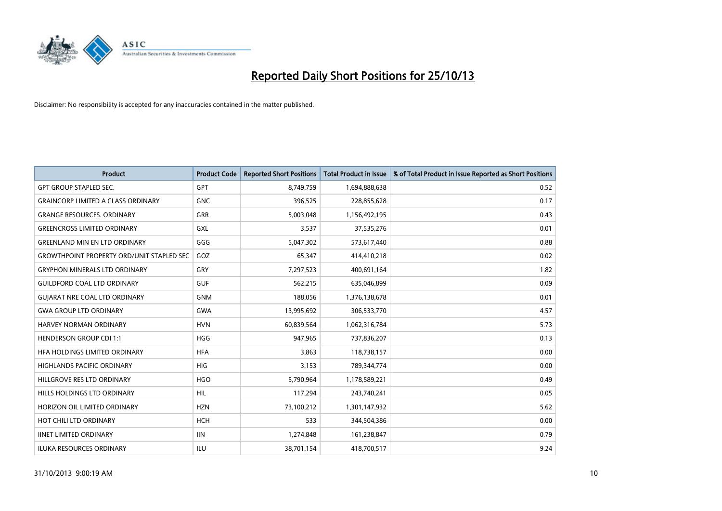

| <b>Product</b>                                   | <b>Product Code</b> | <b>Reported Short Positions</b> | <b>Total Product in Issue</b> | % of Total Product in Issue Reported as Short Positions |
|--------------------------------------------------|---------------------|---------------------------------|-------------------------------|---------------------------------------------------------|
| <b>GPT GROUP STAPLED SEC.</b>                    | <b>GPT</b>          | 8,749,759                       | 1,694,888,638                 | 0.52                                                    |
| <b>GRAINCORP LIMITED A CLASS ORDINARY</b>        | <b>GNC</b>          | 396,525                         | 228,855,628                   | 0.17                                                    |
| <b>GRANGE RESOURCES. ORDINARY</b>                | GRR                 | 5,003,048                       | 1,156,492,195                 | 0.43                                                    |
| <b>GREENCROSS LIMITED ORDINARY</b>               | <b>GXL</b>          | 3,537                           | 37,535,276                    | 0.01                                                    |
| <b>GREENLAND MIN EN LTD ORDINARY</b>             | GGG                 | 5,047,302                       | 573,617,440                   | 0.88                                                    |
| <b>GROWTHPOINT PROPERTY ORD/UNIT STAPLED SEC</b> | GOZ                 | 65,347                          | 414,410,218                   | 0.02                                                    |
| <b>GRYPHON MINERALS LTD ORDINARY</b>             | GRY                 | 7,297,523                       | 400,691,164                   | 1.82                                                    |
| <b>GUILDFORD COAL LTD ORDINARY</b>               | <b>GUF</b>          | 562,215                         | 635,046,899                   | 0.09                                                    |
| <b>GUIARAT NRE COAL LTD ORDINARY</b>             | <b>GNM</b>          | 188,056                         | 1,376,138,678                 | 0.01                                                    |
| <b>GWA GROUP LTD ORDINARY</b>                    | <b>GWA</b>          | 13,995,692                      | 306,533,770                   | 4.57                                                    |
| <b>HARVEY NORMAN ORDINARY</b>                    | <b>HVN</b>          | 60,839,564                      | 1,062,316,784                 | 5.73                                                    |
| <b>HENDERSON GROUP CDI 1:1</b>                   | <b>HGG</b>          | 947,965                         | 737,836,207                   | 0.13                                                    |
| HFA HOLDINGS LIMITED ORDINARY                    | <b>HFA</b>          | 3,863                           | 118,738,157                   | 0.00                                                    |
| <b>HIGHLANDS PACIFIC ORDINARY</b>                | <b>HIG</b>          | 3,153                           | 789,344,774                   | 0.00                                                    |
| HILLGROVE RES LTD ORDINARY                       | <b>HGO</b>          | 5,790,964                       | 1,178,589,221                 | 0.49                                                    |
| HILLS HOLDINGS LTD ORDINARY                      | HIL                 | 117,294                         | 243,740,241                   | 0.05                                                    |
| HORIZON OIL LIMITED ORDINARY                     | <b>HZN</b>          | 73,100,212                      | 1,301,147,932                 | 5.62                                                    |
| HOT CHILI LTD ORDINARY                           | <b>HCH</b>          | 533                             | 344,504,386                   | 0.00                                                    |
| <b>IINET LIMITED ORDINARY</b>                    | <b>IIN</b>          | 1,274,848                       | 161,238,847                   | 0.79                                                    |
| <b>ILUKA RESOURCES ORDINARY</b>                  | ILU                 | 38,701,154                      | 418,700,517                   | 9.24                                                    |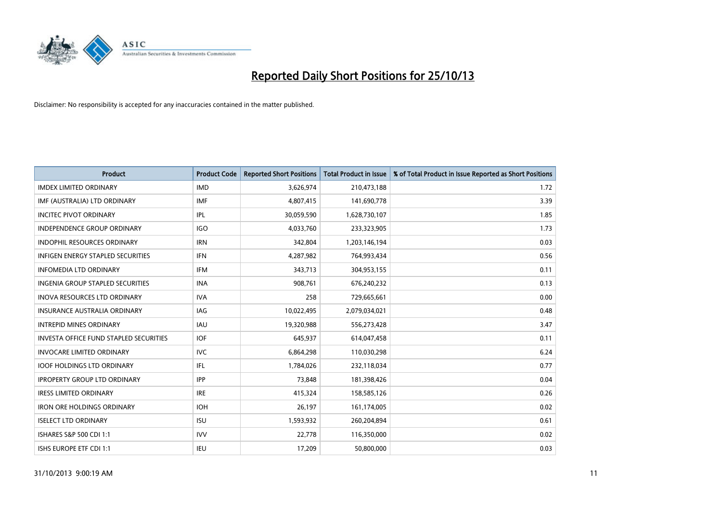

| <b>Product</b>                                | <b>Product Code</b> | <b>Reported Short Positions</b> | <b>Total Product in Issue</b> | % of Total Product in Issue Reported as Short Positions |
|-----------------------------------------------|---------------------|---------------------------------|-------------------------------|---------------------------------------------------------|
| <b>IMDEX LIMITED ORDINARY</b>                 | <b>IMD</b>          | 3,626,974                       | 210,473,188                   | 1.72                                                    |
| IMF (AUSTRALIA) LTD ORDINARY                  | <b>IMF</b>          | 4,807,415                       | 141,690,778                   | 3.39                                                    |
| <b>INCITEC PIVOT ORDINARY</b>                 | IPL                 | 30,059,590                      | 1,628,730,107                 | 1.85                                                    |
| INDEPENDENCE GROUP ORDINARY                   | <b>IGO</b>          | 4,033,760                       | 233,323,905                   | 1.73                                                    |
| <b>INDOPHIL RESOURCES ORDINARY</b>            | <b>IRN</b>          | 342,804                         | 1,203,146,194                 | 0.03                                                    |
| <b>INFIGEN ENERGY STAPLED SECURITIES</b>      | <b>IFN</b>          | 4,287,982                       | 764,993,434                   | 0.56                                                    |
| <b>INFOMEDIA LTD ORDINARY</b>                 | IFM                 | 343,713                         | 304,953,155                   | 0.11                                                    |
| <b>INGENIA GROUP STAPLED SECURITIES</b>       | <b>INA</b>          | 908,761                         | 676,240,232                   | 0.13                                                    |
| <b>INOVA RESOURCES LTD ORDINARY</b>           | <b>IVA</b>          | 258                             | 729,665,661                   | 0.00                                                    |
| <b>INSURANCE AUSTRALIA ORDINARY</b>           | IAG                 | 10,022,495                      | 2,079,034,021                 | 0.48                                                    |
| <b>INTREPID MINES ORDINARY</b>                | <b>IAU</b>          | 19,320,988                      | 556,273,428                   | 3.47                                                    |
| <b>INVESTA OFFICE FUND STAPLED SECURITIES</b> | <b>IOF</b>          | 645,937                         | 614,047,458                   | 0.11                                                    |
| <b>INVOCARE LIMITED ORDINARY</b>              | <b>IVC</b>          | 6,864,298                       | 110,030,298                   | 6.24                                                    |
| <b>IOOF HOLDINGS LTD ORDINARY</b>             | IFL                 | 1,784,026                       | 232,118,034                   | 0.77                                                    |
| <b>IPROPERTY GROUP LTD ORDINARY</b>           | <b>IPP</b>          | 73,848                          | 181,398,426                   | 0.04                                                    |
| <b>IRESS LIMITED ORDINARY</b>                 | <b>IRE</b>          | 415,324                         | 158,585,126                   | 0.26                                                    |
| <b>IRON ORE HOLDINGS ORDINARY</b>             | <b>IOH</b>          | 26,197                          | 161,174,005                   | 0.02                                                    |
| <b>ISELECT LTD ORDINARY</b>                   | <b>ISU</b>          | 1,593,932                       | 260,204,894                   | 0.61                                                    |
| ISHARES S&P 500 CDI 1:1                       | <b>IVV</b>          | 22,778                          | 116,350,000                   | 0.02                                                    |
| ISHS EUROPE ETF CDI 1:1                       | IEU                 | 17,209                          | 50,800,000                    | 0.03                                                    |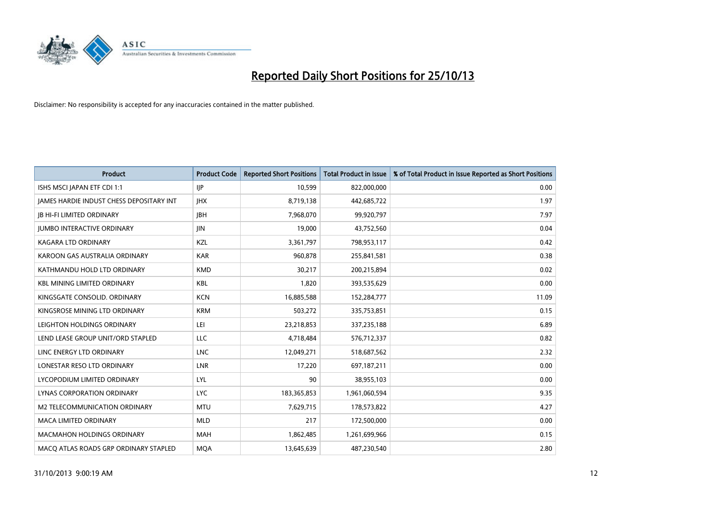

| <b>Product</b>                                  | <b>Product Code</b> | <b>Reported Short Positions</b> | <b>Total Product in Issue</b> | % of Total Product in Issue Reported as Short Positions |
|-------------------------------------------------|---------------------|---------------------------------|-------------------------------|---------------------------------------------------------|
| ISHS MSCI JAPAN ETF CDI 1:1                     | <b>IJP</b>          | 10,599                          | 822,000,000                   | 0.00                                                    |
| <b>IAMES HARDIE INDUST CHESS DEPOSITARY INT</b> | <b>IHX</b>          | 8,719,138                       | 442,685,722                   | 1.97                                                    |
| <b>JB HI-FI LIMITED ORDINARY</b>                | <b>IBH</b>          | 7,968,070                       | 99,920,797                    | 7.97                                                    |
| <b>JUMBO INTERACTIVE ORDINARY</b>               | <b>JIN</b>          | 19,000                          | 43,752,560                    | 0.04                                                    |
| <b>KAGARA LTD ORDINARY</b>                      | <b>KZL</b>          | 3,361,797                       | 798,953,117                   | 0.42                                                    |
| KAROON GAS AUSTRALIA ORDINARY                   | <b>KAR</b>          | 960,878                         | 255,841,581                   | 0.38                                                    |
| KATHMANDU HOLD LTD ORDINARY                     | <b>KMD</b>          | 30,217                          | 200,215,894                   | 0.02                                                    |
| <b>KBL MINING LIMITED ORDINARY</b>              | <b>KBL</b>          | 1,820                           | 393,535,629                   | 0.00                                                    |
| KINGSGATE CONSOLID. ORDINARY                    | <b>KCN</b>          | 16,885,588                      | 152,284,777                   | 11.09                                                   |
| KINGSROSE MINING LTD ORDINARY                   | <b>KRM</b>          | 503,272                         | 335,753,851                   | 0.15                                                    |
| LEIGHTON HOLDINGS ORDINARY                      | LEI                 | 23,218,853                      | 337,235,188                   | 6.89                                                    |
| LEND LEASE GROUP UNIT/ORD STAPLED               | LLC                 | 4,718,484                       | 576,712,337                   | 0.82                                                    |
| LINC ENERGY LTD ORDINARY                        | <b>LNC</b>          | 12,049,271                      | 518,687,562                   | 2.32                                                    |
| LONESTAR RESO LTD ORDINARY                      | <b>LNR</b>          | 17,220                          | 697,187,211                   | 0.00                                                    |
| LYCOPODIUM LIMITED ORDINARY                     | LYL                 | 90                              | 38,955,103                    | 0.00                                                    |
| LYNAS CORPORATION ORDINARY                      | <b>LYC</b>          | 183,365,853                     | 1,961,060,594                 | 9.35                                                    |
| M2 TELECOMMUNICATION ORDINARY                   | <b>MTU</b>          | 7,629,715                       | 178,573,822                   | 4.27                                                    |
| <b>MACA LIMITED ORDINARY</b>                    | <b>MLD</b>          | 217                             | 172,500,000                   | 0.00                                                    |
| <b>MACMAHON HOLDINGS ORDINARY</b>               | <b>MAH</b>          | 1,862,485                       | 1,261,699,966                 | 0.15                                                    |
| MACO ATLAS ROADS GRP ORDINARY STAPLED           | <b>MOA</b>          | 13,645,639                      | 487,230,540                   | 2.80                                                    |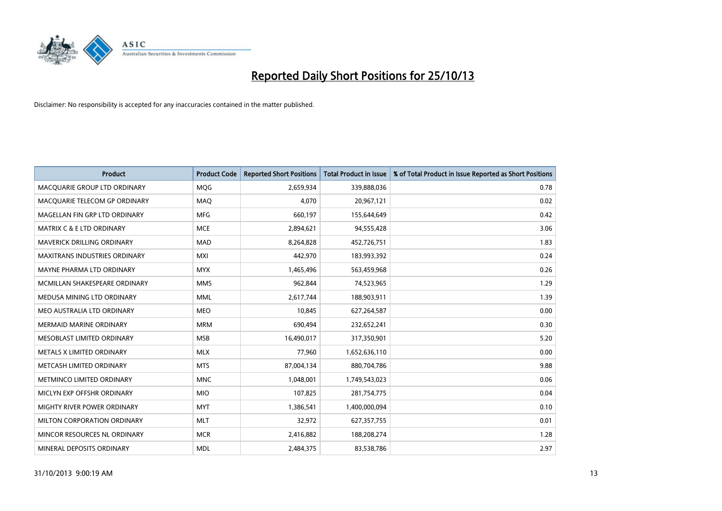

| <b>Product</b>                       | <b>Product Code</b> | <b>Reported Short Positions</b> | <b>Total Product in Issue</b> | % of Total Product in Issue Reported as Short Positions |
|--------------------------------------|---------------------|---------------------------------|-------------------------------|---------------------------------------------------------|
| MACOUARIE GROUP LTD ORDINARY         | MQG                 | 2,659,934                       | 339,888,036                   | 0.78                                                    |
| MACQUARIE TELECOM GP ORDINARY        | MAQ                 | 4,070                           | 20,967,121                    | 0.02                                                    |
| MAGELLAN FIN GRP LTD ORDINARY        | <b>MFG</b>          | 660,197                         | 155,644,649                   | 0.42                                                    |
| <b>MATRIX C &amp; E LTD ORDINARY</b> | <b>MCE</b>          | 2,894,621                       | 94,555,428                    | 3.06                                                    |
| <b>MAVERICK DRILLING ORDINARY</b>    | <b>MAD</b>          | 8,264,828                       | 452,726,751                   | 1.83                                                    |
| <b>MAXITRANS INDUSTRIES ORDINARY</b> | <b>MXI</b>          | 442,970                         | 183,993,392                   | 0.24                                                    |
| MAYNE PHARMA LTD ORDINARY            | <b>MYX</b>          | 1,465,496                       | 563,459,968                   | 0.26                                                    |
| MCMILLAN SHAKESPEARE ORDINARY        | <b>MMS</b>          | 962,844                         | 74,523,965                    | 1.29                                                    |
| MEDUSA MINING LTD ORDINARY           | <b>MML</b>          | 2,617,744                       | 188,903,911                   | 1.39                                                    |
| MEO AUSTRALIA LTD ORDINARY           | <b>MEO</b>          | 10,845                          | 627,264,587                   | 0.00                                                    |
| <b>MERMAID MARINE ORDINARY</b>       | <b>MRM</b>          | 690,494                         | 232,652,241                   | 0.30                                                    |
| MESOBLAST LIMITED ORDINARY           | <b>MSB</b>          | 16,490,017                      | 317,350,901                   | 5.20                                                    |
| METALS X LIMITED ORDINARY            | <b>MLX</b>          | 77,960                          | 1,652,636,110                 | 0.00                                                    |
| METCASH LIMITED ORDINARY             | <b>MTS</b>          | 87,004,134                      | 880,704,786                   | 9.88                                                    |
| METMINCO LIMITED ORDINARY            | <b>MNC</b>          | 1,048,001                       | 1,749,543,023                 | 0.06                                                    |
| MICLYN EXP OFFSHR ORDINARY           | <b>MIO</b>          | 107,825                         | 281,754,775                   | 0.04                                                    |
| MIGHTY RIVER POWER ORDINARY          | <b>MYT</b>          | 1,386,541                       | 1,400,000,094                 | 0.10                                                    |
| MILTON CORPORATION ORDINARY          | <b>MLT</b>          | 32,972                          | 627,357,755                   | 0.01                                                    |
| MINCOR RESOURCES NL ORDINARY         | <b>MCR</b>          | 2,416,882                       | 188,208,274                   | 1.28                                                    |
| MINERAL DEPOSITS ORDINARY            | <b>MDL</b>          | 2,484,375                       | 83,538,786                    | 2.97                                                    |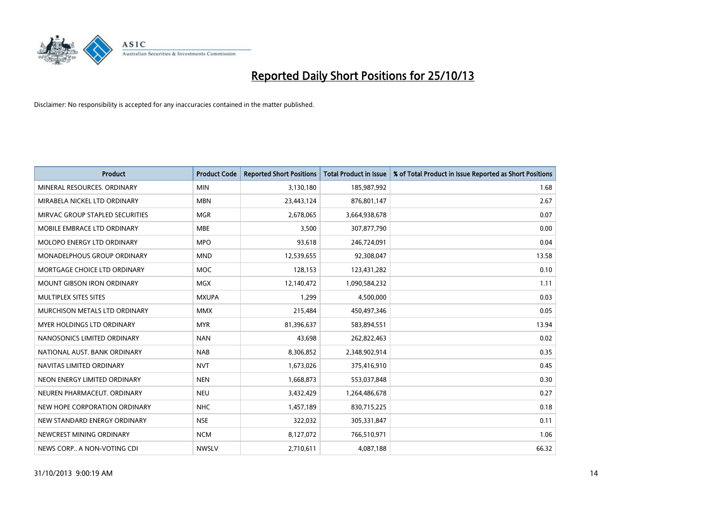

| <b>Product</b>                    | <b>Product Code</b> | <b>Reported Short Positions</b> | <b>Total Product in Issue</b> | % of Total Product in Issue Reported as Short Positions |
|-----------------------------------|---------------------|---------------------------------|-------------------------------|---------------------------------------------------------|
| MINERAL RESOURCES, ORDINARY       | <b>MIN</b>          | 3,130,180                       | 185,987,992                   | 1.68                                                    |
| MIRABELA NICKEL LTD ORDINARY      | <b>MBN</b>          | 23,443,124                      | 876,801,147                   | 2.67                                                    |
| MIRVAC GROUP STAPLED SECURITIES   | <b>MGR</b>          | 2,678,065                       | 3,664,938,678                 | 0.07                                                    |
| MOBILE EMBRACE LTD ORDINARY       | <b>MBE</b>          | 3,500                           | 307,877,790                   | 0.00                                                    |
| MOLOPO ENERGY LTD ORDINARY        | <b>MPO</b>          | 93,618                          | 246,724,091                   | 0.04                                                    |
| MONADELPHOUS GROUP ORDINARY       | <b>MND</b>          | 12,539,655                      | 92,308,047                    | 13.58                                                   |
| MORTGAGE CHOICE LTD ORDINARY      | MOC                 | 128,153                         | 123,431,282                   | 0.10                                                    |
| <b>MOUNT GIBSON IRON ORDINARY</b> | <b>MGX</b>          | 12,140,472                      | 1,090,584,232                 | 1.11                                                    |
| MULTIPLEX SITES SITES             | <b>MXUPA</b>        | 1,299                           | 4,500,000                     | 0.03                                                    |
| MURCHISON METALS LTD ORDINARY     | <b>MMX</b>          | 215,484                         | 450,497,346                   | 0.05                                                    |
| MYER HOLDINGS LTD ORDINARY        | <b>MYR</b>          | 81,396,637                      | 583,894,551                   | 13.94                                                   |
| NANOSONICS LIMITED ORDINARY       | <b>NAN</b>          | 43,698                          | 262,822,463                   | 0.02                                                    |
| NATIONAL AUST. BANK ORDINARY      | <b>NAB</b>          | 8,306,852                       | 2,348,902,914                 | 0.35                                                    |
| NAVITAS LIMITED ORDINARY          | <b>NVT</b>          | 1,673,026                       | 375,416,910                   | 0.45                                                    |
| NEON ENERGY LIMITED ORDINARY      | <b>NEN</b>          | 1,668,873                       | 553,037,848                   | 0.30                                                    |
| NEUREN PHARMACEUT, ORDINARY       | <b>NEU</b>          | 3,432,429                       | 1,264,486,678                 | 0.27                                                    |
| NEW HOPE CORPORATION ORDINARY     | <b>NHC</b>          | 1,457,189                       | 830,715,225                   | 0.18                                                    |
| NEW STANDARD ENERGY ORDINARY      | <b>NSE</b>          | 322,032                         | 305,331,847                   | 0.11                                                    |
| NEWCREST MINING ORDINARY          | <b>NCM</b>          | 8,127,072                       | 766,510,971                   | 1.06                                                    |
| NEWS CORP A NON-VOTING CDI        | <b>NWSLV</b>        | 2,710,611                       | 4,087,188                     | 66.32                                                   |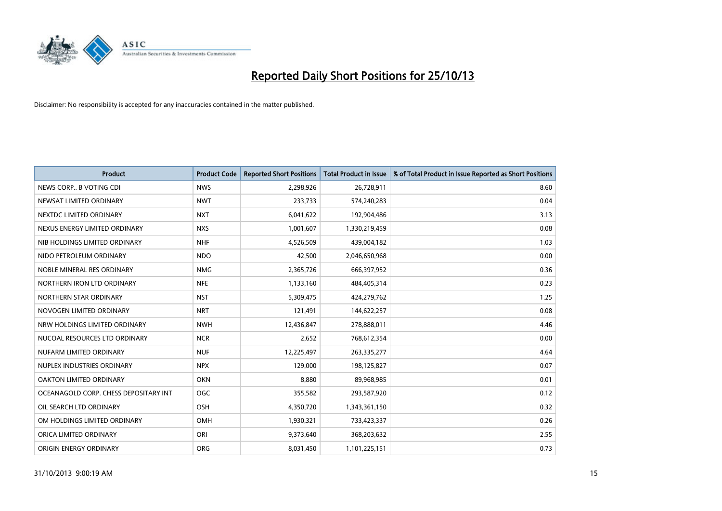

| <b>Product</b>                        | <b>Product Code</b> | <b>Reported Short Positions</b> | <b>Total Product in Issue</b> | % of Total Product in Issue Reported as Short Positions |
|---------------------------------------|---------------------|---------------------------------|-------------------------------|---------------------------------------------------------|
| NEWS CORP B VOTING CDI                | <b>NWS</b>          | 2,298,926                       | 26,728,911                    | 8.60                                                    |
| NEWSAT LIMITED ORDINARY               | <b>NWT</b>          | 233,733                         | 574,240,283                   | 0.04                                                    |
| NEXTDC LIMITED ORDINARY               | <b>NXT</b>          | 6,041,622                       | 192,904,486                   | 3.13                                                    |
| NEXUS ENERGY LIMITED ORDINARY         | <b>NXS</b>          | 1,001,607                       | 1,330,219,459                 | 0.08                                                    |
| NIB HOLDINGS LIMITED ORDINARY         | <b>NHF</b>          | 4,526,509                       | 439,004,182                   | 1.03                                                    |
| NIDO PETROLEUM ORDINARY               | <b>NDO</b>          | 42,500                          | 2,046,650,968                 | 0.00                                                    |
| NOBLE MINERAL RES ORDINARY            | <b>NMG</b>          | 2,365,726                       | 666,397,952                   | 0.36                                                    |
| NORTHERN IRON LTD ORDINARY            | <b>NFE</b>          | 1,133,160                       | 484,405,314                   | 0.23                                                    |
| NORTHERN STAR ORDINARY                | <b>NST</b>          | 5,309,475                       | 424,279,762                   | 1.25                                                    |
| NOVOGEN LIMITED ORDINARY              | <b>NRT</b>          | 121,491                         | 144,622,257                   | 0.08                                                    |
| NRW HOLDINGS LIMITED ORDINARY         | <b>NWH</b>          | 12,436,847                      | 278,888,011                   | 4.46                                                    |
| NUCOAL RESOURCES LTD ORDINARY         | <b>NCR</b>          | 2,652                           | 768,612,354                   | 0.00                                                    |
| NUFARM LIMITED ORDINARY               | <b>NUF</b>          | 12,225,497                      | 263,335,277                   | 4.64                                                    |
| NUPLEX INDUSTRIES ORDINARY            | <b>NPX</b>          | 129,000                         | 198,125,827                   | 0.07                                                    |
| <b>OAKTON LIMITED ORDINARY</b>        | <b>OKN</b>          | 8,880                           | 89,968,985                    | 0.01                                                    |
| OCEANAGOLD CORP. CHESS DEPOSITARY INT | <b>OGC</b>          | 355,582                         | 293,587,920                   | 0.12                                                    |
| OIL SEARCH LTD ORDINARY               | OSH                 | 4,350,720                       | 1,343,361,150                 | 0.32                                                    |
| OM HOLDINGS LIMITED ORDINARY          | OMH                 | 1,930,321                       | 733,423,337                   | 0.26                                                    |
| ORICA LIMITED ORDINARY                | ORI                 | 9,373,640                       | 368,203,632                   | 2.55                                                    |
| ORIGIN ENERGY ORDINARY                | <b>ORG</b>          | 8,031,450                       | 1,101,225,151                 | 0.73                                                    |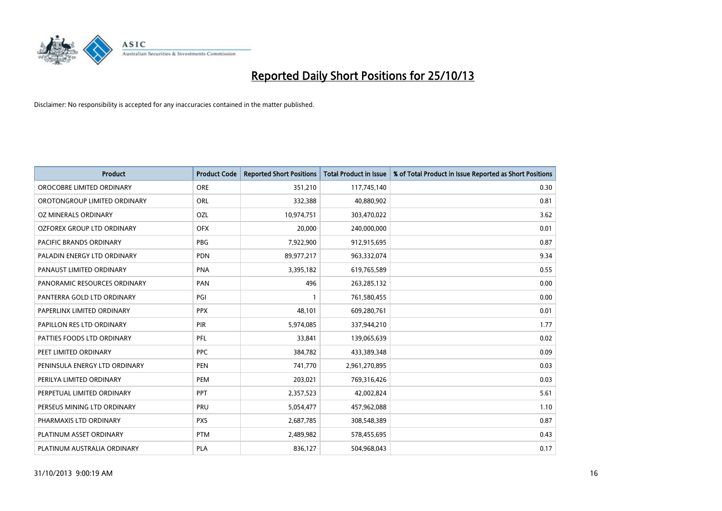

| <b>Product</b>                 | <b>Product Code</b> | <b>Reported Short Positions</b> | <b>Total Product in Issue</b> | % of Total Product in Issue Reported as Short Positions |
|--------------------------------|---------------------|---------------------------------|-------------------------------|---------------------------------------------------------|
| OROCOBRE LIMITED ORDINARY      | <b>ORE</b>          | 351,210                         | 117,745,140                   | 0.30                                                    |
| OROTONGROUP LIMITED ORDINARY   | ORL                 | 332,388                         | 40,880,902                    | 0.81                                                    |
| OZ MINERALS ORDINARY           | OZL                 | 10,974,751                      | 303,470,022                   | 3.62                                                    |
| OZFOREX GROUP LTD ORDINARY     | <b>OFX</b>          | 20,000                          | 240,000,000                   | 0.01                                                    |
| <b>PACIFIC BRANDS ORDINARY</b> | PBG                 | 7,922,900                       | 912,915,695                   | 0.87                                                    |
| PALADIN ENERGY LTD ORDINARY    | PDN                 | 89,977,217                      | 963,332,074                   | 9.34                                                    |
| PANAUST LIMITED ORDINARY       | <b>PNA</b>          | 3,395,182                       | 619,765,589                   | 0.55                                                    |
| PANORAMIC RESOURCES ORDINARY   | PAN                 | 496                             | 263,285,132                   | 0.00                                                    |
| PANTERRA GOLD LTD ORDINARY     | PGI                 |                                 | 761,580,455                   | 0.00                                                    |
| PAPERLINX LIMITED ORDINARY     | <b>PPX</b>          | 48,101                          | 609,280,761                   | 0.01                                                    |
| PAPILLON RES LTD ORDINARY      | PIR                 | 5,974,085                       | 337,944,210                   | 1.77                                                    |
| PATTIES FOODS LTD ORDINARY     | PFL                 | 33,841                          | 139,065,639                   | 0.02                                                    |
| PEET LIMITED ORDINARY          | <b>PPC</b>          | 384,782                         | 433,389,348                   | 0.09                                                    |
| PENINSULA ENERGY LTD ORDINARY  | <b>PEN</b>          | 741,770                         | 2,961,270,895                 | 0.03                                                    |
| PERILYA LIMITED ORDINARY       | PEM                 | 203,021                         | 769,316,426                   | 0.03                                                    |
| PERPETUAL LIMITED ORDINARY     | PPT                 | 2,357,523                       | 42,002,824                    | 5.61                                                    |
| PERSEUS MINING LTD ORDINARY    | PRU                 | 5,054,477                       | 457,962,088                   | 1.10                                                    |
| PHARMAXIS LTD ORDINARY         | <b>PXS</b>          | 2,687,785                       | 308,548,389                   | 0.87                                                    |
| PLATINUM ASSET ORDINARY        | <b>PTM</b>          | 2,489,982                       | 578,455,695                   | 0.43                                                    |
| PLATINUM AUSTRALIA ORDINARY    | <b>PLA</b>          | 836,127                         | 504,968,043                   | 0.17                                                    |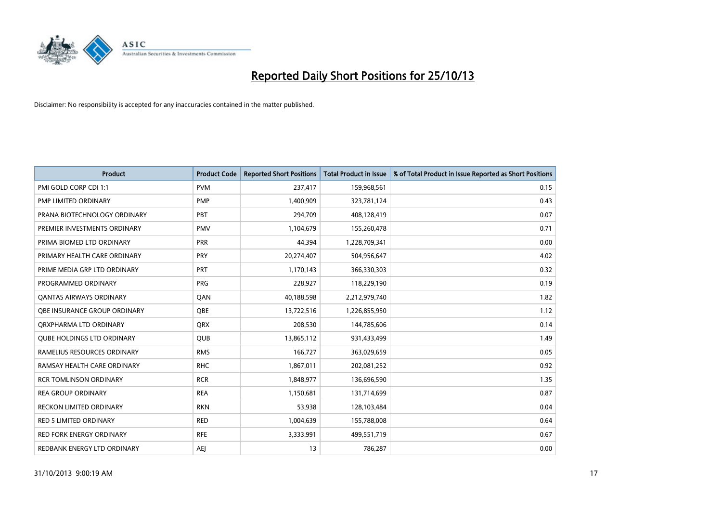

| <b>Product</b>                    | <b>Product Code</b> | <b>Reported Short Positions</b> | <b>Total Product in Issue</b> | % of Total Product in Issue Reported as Short Positions |
|-----------------------------------|---------------------|---------------------------------|-------------------------------|---------------------------------------------------------|
| PMI GOLD CORP CDI 1:1             | <b>PVM</b>          | 237,417                         | 159,968,561                   | 0.15                                                    |
| PMP LIMITED ORDINARY              | <b>PMP</b>          | 1,400,909                       | 323,781,124                   | 0.43                                                    |
| PRANA BIOTECHNOLOGY ORDINARY      | PBT                 | 294,709                         | 408,128,419                   | 0.07                                                    |
| PREMIER INVESTMENTS ORDINARY      | <b>PMV</b>          | 1,104,679                       | 155,260,478                   | 0.71                                                    |
| PRIMA BIOMED LTD ORDINARY         | <b>PRR</b>          | 44,394                          | 1,228,709,341                 | 0.00                                                    |
| PRIMARY HEALTH CARE ORDINARY      | PRY                 | 20,274,407                      | 504,956,647                   | 4.02                                                    |
| PRIME MEDIA GRP LTD ORDINARY      | <b>PRT</b>          | 1,170,143                       | 366,330,303                   | 0.32                                                    |
| PROGRAMMED ORDINARY               | <b>PRG</b>          | 228,927                         | 118,229,190                   | 0.19                                                    |
| <b>QANTAS AIRWAYS ORDINARY</b>    | QAN                 | 40,188,598                      | 2,212,979,740                 | 1.82                                                    |
| OBE INSURANCE GROUP ORDINARY      | <b>OBE</b>          | 13,722,516                      | 1,226,855,950                 | 1.12                                                    |
| ORXPHARMA LTD ORDINARY            | <b>QRX</b>          | 208,530                         | 144,785,606                   | 0.14                                                    |
| <b>QUBE HOLDINGS LTD ORDINARY</b> | QUB                 | 13,865,112                      | 931,433,499                   | 1.49                                                    |
| RAMELIUS RESOURCES ORDINARY       | <b>RMS</b>          | 166,727                         | 363,029,659                   | 0.05                                                    |
| RAMSAY HEALTH CARE ORDINARY       | <b>RHC</b>          | 1,867,011                       | 202,081,252                   | 0.92                                                    |
| <b>RCR TOMLINSON ORDINARY</b>     | <b>RCR</b>          | 1,848,977                       | 136,696,590                   | 1.35                                                    |
| <b>REA GROUP ORDINARY</b>         | <b>REA</b>          | 1,150,681                       | 131,714,699                   | 0.87                                                    |
| RECKON LIMITED ORDINARY           | <b>RKN</b>          | 53,938                          | 128,103,484                   | 0.04                                                    |
| RED 5 LIMITED ORDINARY            | <b>RED</b>          | 1,004,639                       | 155,788,008                   | 0.64                                                    |
| <b>RED FORK ENERGY ORDINARY</b>   | <b>RFE</b>          | 3,333,991                       | 499,551,719                   | 0.67                                                    |
| REDBANK ENERGY LTD ORDINARY       | <b>AEJ</b>          | 13                              | 786,287                       | 0.00                                                    |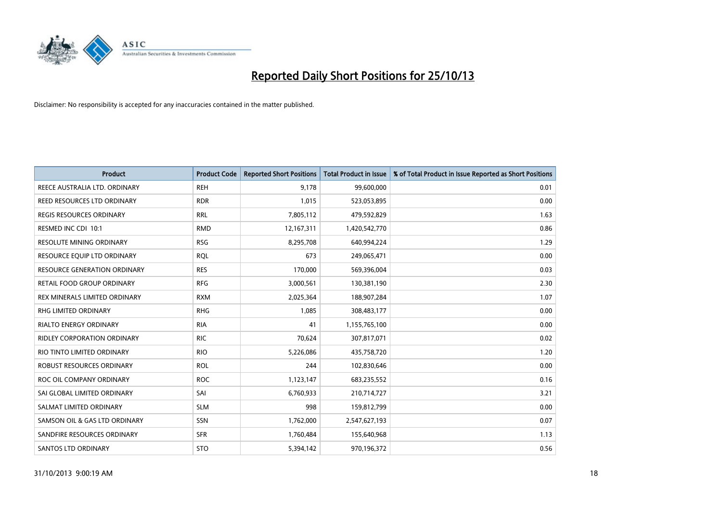

| <b>Product</b>                      | <b>Product Code</b> | <b>Reported Short Positions</b> | <b>Total Product in Issue</b> | % of Total Product in Issue Reported as Short Positions |
|-------------------------------------|---------------------|---------------------------------|-------------------------------|---------------------------------------------------------|
| REECE AUSTRALIA LTD. ORDINARY       | <b>REH</b>          | 9,178                           | 99,600,000                    | 0.01                                                    |
| REED RESOURCES LTD ORDINARY         | <b>RDR</b>          | 1,015                           | 523,053,895                   | 0.00                                                    |
| REGIS RESOURCES ORDINARY            | <b>RRL</b>          | 7,805,112                       | 479,592,829                   | 1.63                                                    |
| RESMED INC CDI 10:1                 | <b>RMD</b>          | 12,167,311                      | 1,420,542,770                 | 0.86                                                    |
| <b>RESOLUTE MINING ORDINARY</b>     | <b>RSG</b>          | 8,295,708                       | 640,994,224                   | 1.29                                                    |
| RESOURCE EQUIP LTD ORDINARY         | <b>RQL</b>          | 673                             | 249,065,471                   | 0.00                                                    |
| <b>RESOURCE GENERATION ORDINARY</b> | <b>RES</b>          | 170,000                         | 569,396,004                   | 0.03                                                    |
| RETAIL FOOD GROUP ORDINARY          | <b>RFG</b>          | 3,000,561                       | 130,381,190                   | 2.30                                                    |
| REX MINERALS LIMITED ORDINARY       | <b>RXM</b>          | 2,025,364                       | 188,907,284                   | 1.07                                                    |
| <b>RHG LIMITED ORDINARY</b>         | <b>RHG</b>          | 1,085                           | 308,483,177                   | 0.00                                                    |
| RIALTO ENERGY ORDINARY              | <b>RIA</b>          | 41                              | 1,155,765,100                 | 0.00                                                    |
| <b>RIDLEY CORPORATION ORDINARY</b>  | RIC.                | 70,624                          | 307,817,071                   | 0.02                                                    |
| RIO TINTO LIMITED ORDINARY          | <b>RIO</b>          | 5,226,086                       | 435,758,720                   | 1.20                                                    |
| ROBUST RESOURCES ORDINARY           | <b>ROL</b>          | 244                             | 102,830,646                   | 0.00                                                    |
| ROC OIL COMPANY ORDINARY            | <b>ROC</b>          | 1,123,147                       | 683,235,552                   | 0.16                                                    |
| SAI GLOBAL LIMITED ORDINARY         | SAI                 | 6,760,933                       | 210,714,727                   | 3.21                                                    |
| SALMAT LIMITED ORDINARY             | <b>SLM</b>          | 998                             | 159,812,799                   | 0.00                                                    |
| SAMSON OIL & GAS LTD ORDINARY       | SSN                 | 1,762,000                       | 2,547,627,193                 | 0.07                                                    |
| SANDFIRE RESOURCES ORDINARY         | <b>SFR</b>          | 1,760,484                       | 155,640,968                   | 1.13                                                    |
| SANTOS LTD ORDINARY                 | <b>STO</b>          | 5,394,142                       | 970,196,372                   | 0.56                                                    |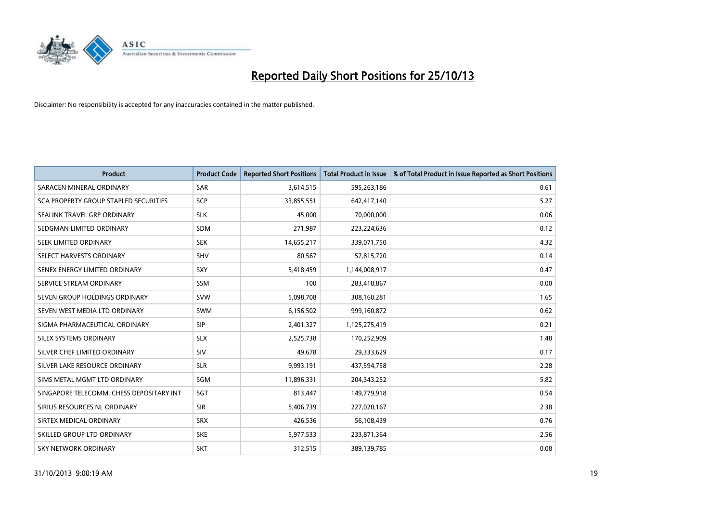

| <b>Product</b>                           | <b>Product Code</b> | <b>Reported Short Positions</b> | <b>Total Product in Issue</b> | % of Total Product in Issue Reported as Short Positions |
|------------------------------------------|---------------------|---------------------------------|-------------------------------|---------------------------------------------------------|
| SARACEN MINERAL ORDINARY                 | <b>SAR</b>          | 3,614,515                       | 595,263,186                   | 0.61                                                    |
| SCA PROPERTY GROUP STAPLED SECURITIES    | SCP                 | 33,855,551                      | 642,417,140                   | 5.27                                                    |
| SEALINK TRAVEL GRP ORDINARY              | <b>SLK</b>          | 45,000                          | 70,000,000                    | 0.06                                                    |
| SEDGMAN LIMITED ORDINARY                 | <b>SDM</b>          | 271,987                         | 223,224,636                   | 0.12                                                    |
| SEEK LIMITED ORDINARY                    | <b>SEK</b>          | 14,655,217                      | 339,071,750                   | 4.32                                                    |
| SELECT HARVESTS ORDINARY                 | SHV                 | 80,567                          | 57,815,720                    | 0.14                                                    |
| SENEX ENERGY LIMITED ORDINARY            | <b>SXY</b>          | 5,418,459                       | 1,144,008,917                 | 0.47                                                    |
| SERVICE STREAM ORDINARY                  | <b>SSM</b>          | 100                             | 283,418,867                   | 0.00                                                    |
| SEVEN GROUP HOLDINGS ORDINARY            | <b>SVW</b>          | 5,098,708                       | 308,160,281                   | 1.65                                                    |
| SEVEN WEST MEDIA LTD ORDINARY            | <b>SWM</b>          | 6,156,502                       | 999,160,872                   | 0.62                                                    |
| SIGMA PHARMACEUTICAL ORDINARY            | <b>SIP</b>          | 2,401,327                       | 1,125,275,419                 | 0.21                                                    |
| SILEX SYSTEMS ORDINARY                   | <b>SLX</b>          | 2,525,738                       | 170,252,909                   | 1.48                                                    |
| SILVER CHEF LIMITED ORDINARY             | SIV                 | 49,678                          | 29,333,629                    | 0.17                                                    |
| SILVER LAKE RESOURCE ORDINARY            | <b>SLR</b>          | 9,993,191                       | 437,594,758                   | 2.28                                                    |
| SIMS METAL MGMT LTD ORDINARY             | SGM                 | 11,896,331                      | 204,343,252                   | 5.82                                                    |
| SINGAPORE TELECOMM. CHESS DEPOSITARY INT | SGT                 | 813,447                         | 149,779,918                   | 0.54                                                    |
| SIRIUS RESOURCES NL ORDINARY             | <b>SIR</b>          | 5,406,739                       | 227,020,167                   | 2.38                                                    |
| SIRTEX MEDICAL ORDINARY                  | <b>SRX</b>          | 426,536                         | 56,108,439                    | 0.76                                                    |
| SKILLED GROUP LTD ORDINARY               | <b>SKE</b>          | 5,977,533                       | 233,871,364                   | 2.56                                                    |
| <b>SKY NETWORK ORDINARY</b>              | <b>SKT</b>          | 312,515                         | 389,139,785                   | 0.08                                                    |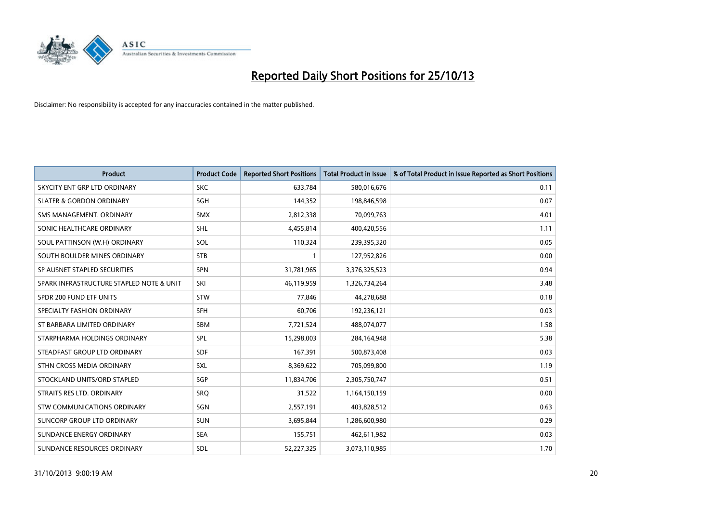

| <b>Product</b>                           | <b>Product Code</b> | <b>Reported Short Positions</b> | <b>Total Product in Issue</b> | % of Total Product in Issue Reported as Short Positions |
|------------------------------------------|---------------------|---------------------------------|-------------------------------|---------------------------------------------------------|
| SKYCITY ENT GRP LTD ORDINARY             | <b>SKC</b>          | 633,784                         | 580,016,676                   | 0.11                                                    |
| <b>SLATER &amp; GORDON ORDINARY</b>      | <b>SGH</b>          | 144,352                         | 198,846,598                   | 0.07                                                    |
| SMS MANAGEMENT, ORDINARY                 | <b>SMX</b>          | 2,812,338                       | 70,099,763                    | 4.01                                                    |
| SONIC HEALTHCARE ORDINARY                | <b>SHL</b>          | 4,455,814                       | 400,420,556                   | 1.11                                                    |
| SOUL PATTINSON (W.H) ORDINARY            | SOL                 | 110,324                         | 239,395,320                   | 0.05                                                    |
| SOUTH BOULDER MINES ORDINARY             | <b>STB</b>          | $\mathbf{1}$                    | 127,952,826                   | 0.00                                                    |
| SP AUSNET STAPLED SECURITIES             | <b>SPN</b>          | 31,781,965                      | 3,376,325,523                 | 0.94                                                    |
| SPARK INFRASTRUCTURE STAPLED NOTE & UNIT | SKI                 | 46,119,959                      | 1,326,734,264                 | 3.48                                                    |
| SPDR 200 FUND ETF UNITS                  | <b>STW</b>          | 77,846                          | 44,278,688                    | 0.18                                                    |
| SPECIALTY FASHION ORDINARY               | <b>SFH</b>          | 60,706                          | 192,236,121                   | 0.03                                                    |
| ST BARBARA LIMITED ORDINARY              | SBM                 | 7,721,524                       | 488,074,077                   | 1.58                                                    |
| STARPHARMA HOLDINGS ORDINARY             | <b>SPL</b>          | 15,298,003                      | 284,164,948                   | 5.38                                                    |
| STEADFAST GROUP LTD ORDINARY             | <b>SDF</b>          | 167,391                         | 500,873,408                   | 0.03                                                    |
| STHN CROSS MEDIA ORDINARY                | <b>SXL</b>          | 8,369,622                       | 705,099,800                   | 1.19                                                    |
| STOCKLAND UNITS/ORD STAPLED              | SGP                 | 11,834,706                      | 2,305,750,747                 | 0.51                                                    |
| STRAITS RES LTD. ORDINARY                | SRO                 | 31,522                          | 1,164,150,159                 | 0.00                                                    |
| STW COMMUNICATIONS ORDINARY              | SGN                 | 2,557,191                       | 403,828,512                   | 0.63                                                    |
| <b>SUNCORP GROUP LTD ORDINARY</b>        | <b>SUN</b>          | 3,695,844                       | 1,286,600,980                 | 0.29                                                    |
| SUNDANCE ENERGY ORDINARY                 | <b>SEA</b>          | 155,751                         | 462,611,982                   | 0.03                                                    |
| SUNDANCE RESOURCES ORDINARY              | SDL                 | 52,227,325                      | 3,073,110,985                 | 1.70                                                    |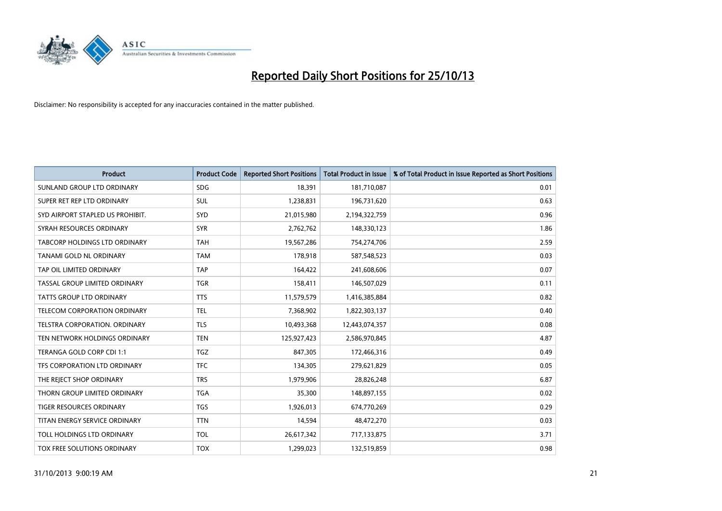

| <b>Product</b>                   | <b>Product Code</b> | <b>Reported Short Positions</b> | <b>Total Product in Issue</b> | % of Total Product in Issue Reported as Short Positions |
|----------------------------------|---------------------|---------------------------------|-------------------------------|---------------------------------------------------------|
| SUNLAND GROUP LTD ORDINARY       | <b>SDG</b>          | 18,391                          | 181,710,087                   | 0.01                                                    |
| SUPER RET REP LTD ORDINARY       | <b>SUL</b>          | 1,238,831                       | 196,731,620                   | 0.63                                                    |
| SYD AIRPORT STAPLED US PROHIBIT. | <b>SYD</b>          | 21,015,980                      | 2,194,322,759                 | 0.96                                                    |
| SYRAH RESOURCES ORDINARY         | <b>SYR</b>          | 2,762,762                       | 148,330,123                   | 1.86                                                    |
| TABCORP HOLDINGS LTD ORDINARY    | <b>TAH</b>          | 19,567,286                      | 754,274,706                   | 2.59                                                    |
| <b>TANAMI GOLD NL ORDINARY</b>   | <b>TAM</b>          | 178,918                         | 587,548,523                   | 0.03                                                    |
| TAP OIL LIMITED ORDINARY         | <b>TAP</b>          | 164,422                         | 241,608,606                   | 0.07                                                    |
| TASSAL GROUP LIMITED ORDINARY    | <b>TGR</b>          | 158,411                         | 146,507,029                   | 0.11                                                    |
| <b>TATTS GROUP LTD ORDINARY</b>  | <b>TTS</b>          | 11,579,579                      | 1,416,385,884                 | 0.82                                                    |
| TELECOM CORPORATION ORDINARY     | <b>TEL</b>          | 7,368,902                       | 1,822,303,137                 | 0.40                                                    |
| TELSTRA CORPORATION. ORDINARY    | TLS                 | 10,493,368                      | 12,443,074,357                | 0.08                                                    |
| TEN NETWORK HOLDINGS ORDINARY    | <b>TEN</b>          | 125,927,423                     | 2,586,970,845                 | 4.87                                                    |
| TERANGA GOLD CORP CDI 1:1        | <b>TGZ</b>          | 847,305                         | 172,466,316                   | 0.49                                                    |
| TFS CORPORATION LTD ORDINARY     | <b>TFC</b>          | 134,305                         | 279,621,829                   | 0.05                                                    |
| THE REJECT SHOP ORDINARY         | <b>TRS</b>          | 1,979,906                       | 28,826,248                    | 6.87                                                    |
| THORN GROUP LIMITED ORDINARY     | <b>TGA</b>          | 35,300                          | 148,897,155                   | 0.02                                                    |
| TIGER RESOURCES ORDINARY         | TGS                 | 1,926,013                       | 674,770,269                   | 0.29                                                    |
| TITAN ENERGY SERVICE ORDINARY    | <b>TTN</b>          | 14,594                          | 48,472,270                    | 0.03                                                    |
| TOLL HOLDINGS LTD ORDINARY       | <b>TOL</b>          | 26,617,342                      | 717,133,875                   | 3.71                                                    |
| TOX FREE SOLUTIONS ORDINARY      | <b>TOX</b>          | 1,299,023                       | 132,519,859                   | 0.98                                                    |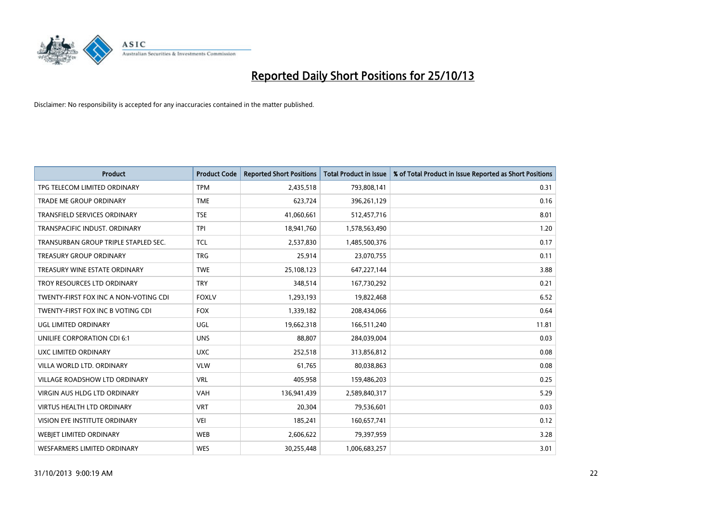

| <b>Product</b>                        | <b>Product Code</b> | <b>Reported Short Positions</b> | <b>Total Product in Issue</b> | % of Total Product in Issue Reported as Short Positions |
|---------------------------------------|---------------------|---------------------------------|-------------------------------|---------------------------------------------------------|
| TPG TELECOM LIMITED ORDINARY          | <b>TPM</b>          | 2,435,518                       | 793,808,141                   | 0.31                                                    |
| TRADE ME GROUP ORDINARY               | <b>TME</b>          | 623,724                         | 396,261,129                   | 0.16                                                    |
| <b>TRANSFIELD SERVICES ORDINARY</b>   | <b>TSE</b>          | 41,060,661                      | 512,457,716                   | 8.01                                                    |
| TRANSPACIFIC INDUST. ORDINARY         | <b>TPI</b>          | 18,941,760                      | 1,578,563,490                 | 1.20                                                    |
| TRANSURBAN GROUP TRIPLE STAPLED SEC.  | <b>TCL</b>          | 2,537,830                       | 1,485,500,376                 | 0.17                                                    |
| <b>TREASURY GROUP ORDINARY</b>        | <b>TRG</b>          | 25,914                          | 23,070,755                    | 0.11                                                    |
| TREASURY WINE ESTATE ORDINARY         | <b>TWE</b>          | 25,108,123                      | 647,227,144                   | 3.88                                                    |
| TROY RESOURCES LTD ORDINARY           | <b>TRY</b>          | 348,514                         | 167,730,292                   | 0.21                                                    |
| TWENTY-FIRST FOX INC A NON-VOTING CDI | <b>FOXLV</b>        | 1,293,193                       | 19,822,468                    | 6.52                                                    |
| TWENTY-FIRST FOX INC B VOTING CDI     | <b>FOX</b>          | 1,339,182                       | 208,434,066                   | 0.64                                                    |
| UGL LIMITED ORDINARY                  | UGL                 | 19,662,318                      | 166,511,240                   | 11.81                                                   |
| UNILIFE CORPORATION CDI 6:1           | <b>UNS</b>          | 88,807                          | 284,039,004                   | 0.03                                                    |
| UXC LIMITED ORDINARY                  | <b>UXC</b>          | 252,518                         | 313,856,812                   | 0.08                                                    |
| VILLA WORLD LTD, ORDINARY             | <b>VLW</b>          | 61,765                          | 80,038,863                    | 0.08                                                    |
| <b>VILLAGE ROADSHOW LTD ORDINARY</b>  | <b>VRL</b>          | 405,958                         | 159,486,203                   | 0.25                                                    |
| VIRGIN AUS HLDG LTD ORDINARY          | <b>VAH</b>          | 136,941,439                     | 2,589,840,317                 | 5.29                                                    |
| VIRTUS HEALTH LTD ORDINARY            | <b>VRT</b>          | 20,304                          | 79,536,601                    | 0.03                                                    |
| VISION EYE INSTITUTE ORDINARY         | <b>VEI</b>          | 185,241                         | 160,657,741                   | 0.12                                                    |
| WEBJET LIMITED ORDINARY               | <b>WEB</b>          | 2,606,622                       | 79,397,959                    | 3.28                                                    |
| WESFARMERS LIMITED ORDINARY           | <b>WES</b>          | 30,255,448                      | 1,006,683,257                 | 3.01                                                    |